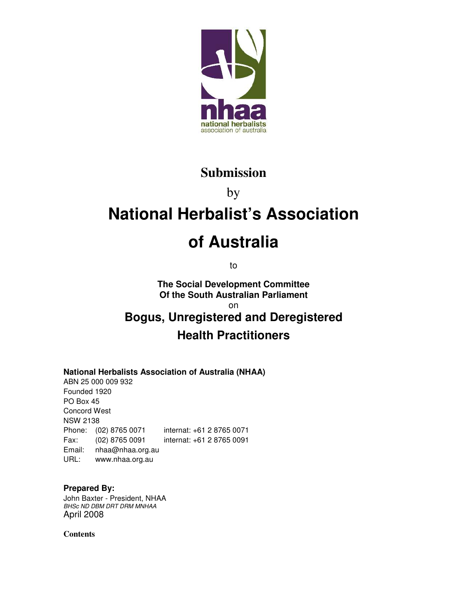

### **Submission**

by

# **National Herbalist's Association**

# **of Australia**

to

**The Social Development Committee Of the South Australian Parliament**  on

## **Bogus, Unregistered and Deregistered Health Practitioners**

#### **National Herbalists Association of Australia (NHAA)**

ABN 25 000 009 932 Founded 1920 PO Box 45 Concord West NSW 2138 Phone: (02) 8765 0071 internat: +61 2 8765 0071 Fax: (02) 8765 0091 internat: +61 2 8765 0091 Email: nhaa@nhaa.org.au URL: www.nhaa.org.au

#### **Prepared By:**

John Baxter - President, NHAA BHSc ND DBM DRT DRM MNHAA April 2008

**Contents**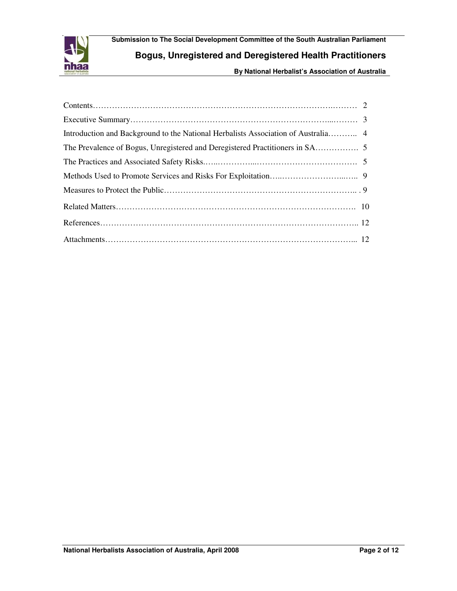

**Submission to The Social Development Committee of the South Australian Parliament Bogus, Unregistered and Deregistered Health Practitioners**

**By National Herbalist's Association of Australia**

| Introduction and Background to the National Herbalists Association of Australia 4 |
|-----------------------------------------------------------------------------------|
|                                                                                   |
|                                                                                   |
|                                                                                   |
|                                                                                   |
|                                                                                   |
|                                                                                   |
|                                                                                   |
|                                                                                   |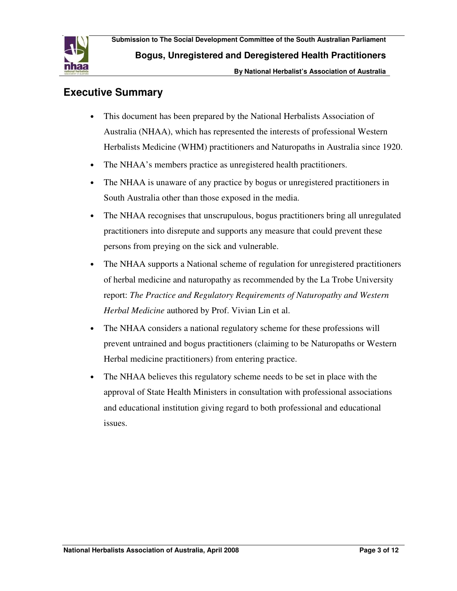

#### **Executive Summary**

- This document has been prepared by the National Herbalists Association of Australia (NHAA), which has represented the interests of professional Western Herbalists Medicine (WHM) practitioners and Naturopaths in Australia since 1920.
- The NHAA's members practice as unregistered health practitioners.
- The NHAA is unaware of any practice by bogus or unregistered practitioners in South Australia other than those exposed in the media.
- The NHAA recognises that unscrupulous, bogus practitioners bring all unregulated practitioners into disrepute and supports any measure that could prevent these persons from preying on the sick and vulnerable.
- The NHAA supports a National scheme of regulation for unregistered practitioners of herbal medicine and naturopathy as recommended by the La Trobe University report: *The Practice and Regulatory Requirements of Naturopathy and Western Herbal Medicine* authored by Prof. Vivian Lin et al.
- The NHAA considers a national regulatory scheme for these professions will prevent untrained and bogus practitioners (claiming to be Naturopaths or Western Herbal medicine practitioners) from entering practice.
- The NHAA believes this regulatory scheme needs to be set in place with the approval of State Health Ministers in consultation with professional associations and educational institution giving regard to both professional and educational issues.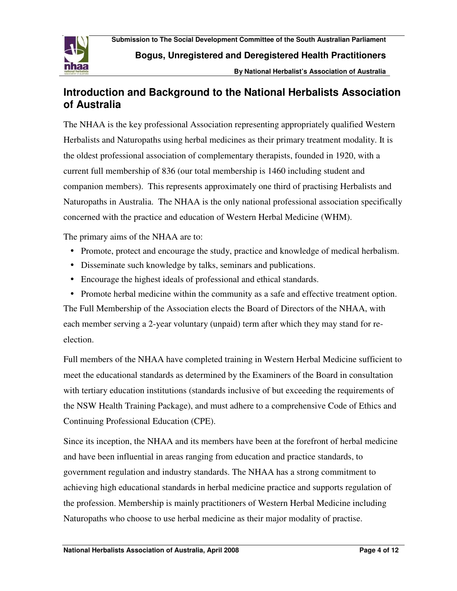

**Bogus, Unregistered and Deregistered Health Practitioners**

**By National Herbalist's Association of Australia**

#### **Introduction and Background to the National Herbalists Association of Australia**

The NHAA is the key professional Association representing appropriately qualified Western Herbalists and Naturopaths using herbal medicines as their primary treatment modality. It is the oldest professional association of complementary therapists, founded in 1920, with a current full membership of 836 (our total membership is 1460 including student and companion members). This represents approximately one third of practising Herbalists and Naturopaths in Australia. The NHAA is the only national professional association specifically concerned with the practice and education of Western Herbal Medicine (WHM).

The primary aims of the NHAA are to:

- Promote, protect and encourage the study, practice and knowledge of medical herbalism.
- Disseminate such knowledge by talks, seminars and publications.
- Encourage the highest ideals of professional and ethical standards.
- Promote herbal medicine within the community as a safe and effective treatment option.

The Full Membership of the Association elects the Board of Directors of the NHAA, with each member serving a 2-year voluntary (unpaid) term after which they may stand for reelection.

Full members of the NHAA have completed training in Western Herbal Medicine sufficient to meet the educational standards as determined by the Examiners of the Board in consultation with tertiary education institutions (standards inclusive of but exceeding the requirements of the NSW Health Training Package), and must adhere to a comprehensive Code of Ethics and Continuing Professional Education (CPE).

Since its inception, the NHAA and its members have been at the forefront of herbal medicine and have been influential in areas ranging from education and practice standards, to government regulation and industry standards. The NHAA has a strong commitment to achieving high educational standards in herbal medicine practice and supports regulation of the profession. Membership is mainly practitioners of Western Herbal Medicine including Naturopaths who choose to use herbal medicine as their major modality of practise.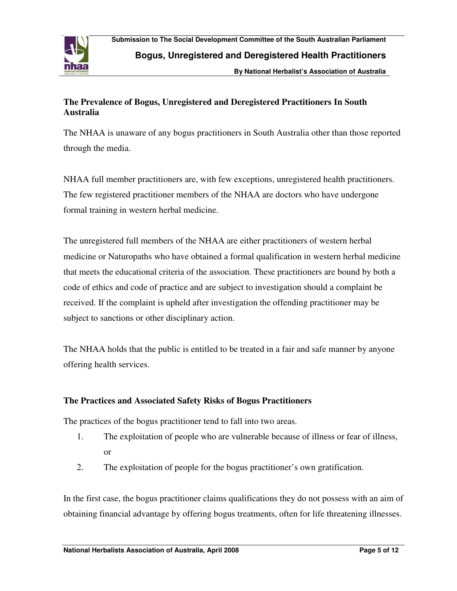

**By National Herbalist's Association of Australia**

#### **The Prevalence of Bogus, Unregistered and Deregistered Practitioners In South Australia**

The NHAA is unaware of any bogus practitioners in South Australia other than those reported through the media.

NHAA full member practitioners are, with few exceptions, unregistered health practitioners. The few registered practitioner members of the NHAA are doctors who have undergone formal training in western herbal medicine.

The unregistered full members of the NHAA are either practitioners of western herbal medicine or Naturopaths who have obtained a formal qualification in western herbal medicine that meets the educational criteria of the association. These practitioners are bound by both a code of ethics and code of practice and are subject to investigation should a complaint be received. If the complaint is upheld after investigation the offending practitioner may be subject to sanctions or other disciplinary action.

The NHAA holds that the public is entitled to be treated in a fair and safe manner by anyone offering health services.

#### **The Practices and Associated Safety Risks of Bogus Practitioners**

The practices of the bogus practitioner tend to fall into two areas.

- 1. The exploitation of people who are vulnerable because of illness or fear of illness, or
- 2. The exploitation of people for the bogus practitioner's own gratification.

In the first case, the bogus practitioner claims qualifications they do not possess with an aim of obtaining financial advantage by offering bogus treatments, often for life threatening illnesses.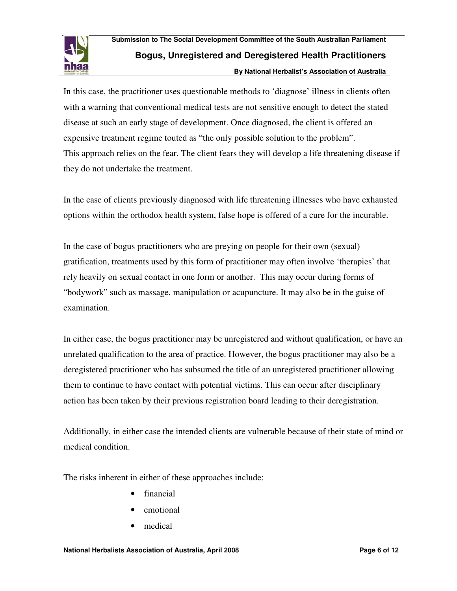

In this case, the practitioner uses questionable methods to 'diagnose' illness in clients often with a warning that conventional medical tests are not sensitive enough to detect the stated disease at such an early stage of development. Once diagnosed, the client is offered an expensive treatment regime touted as "the only possible solution to the problem". This approach relies on the fear. The client fears they will develop a life threatening disease if they do not undertake the treatment.

In the case of clients previously diagnosed with life threatening illnesses who have exhausted options within the orthodox health system, false hope is offered of a cure for the incurable.

In the case of bogus practitioners who are preying on people for their own (sexual) gratification, treatments used by this form of practitioner may often involve 'therapies' that rely heavily on sexual contact in one form or another. This may occur during forms of "bodywork" such as massage, manipulation or acupuncture. It may also be in the guise of examination.

In either case, the bogus practitioner may be unregistered and without qualification, or have an unrelated qualification to the area of practice. However, the bogus practitioner may also be a deregistered practitioner who has subsumed the title of an unregistered practitioner allowing them to continue to have contact with potential victims. This can occur after disciplinary action has been taken by their previous registration board leading to their deregistration.

Additionally, in either case the intended clients are vulnerable because of their state of mind or medical condition.

The risks inherent in either of these approaches include:

- financial
- emotional
- medical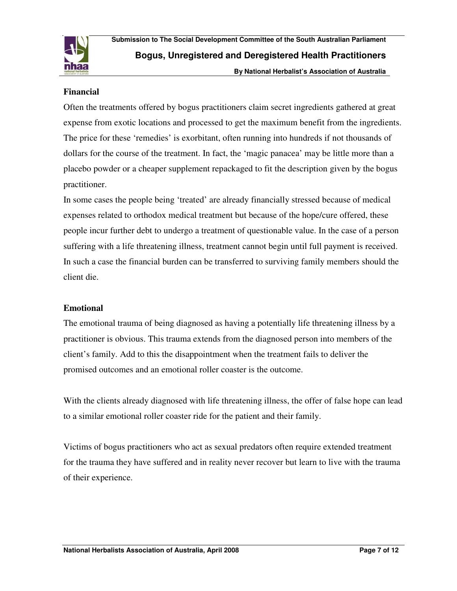

#### **Financial**

Often the treatments offered by bogus practitioners claim secret ingredients gathered at great expense from exotic locations and processed to get the maximum benefit from the ingredients. The price for these 'remedies' is exorbitant, often running into hundreds if not thousands of dollars for the course of the treatment. In fact, the 'magic panacea' may be little more than a placebo powder or a cheaper supplement repackaged to fit the description given by the bogus practitioner.

In some cases the people being 'treated' are already financially stressed because of medical expenses related to orthodox medical treatment but because of the hope/cure offered, these people incur further debt to undergo a treatment of questionable value. In the case of a person suffering with a life threatening illness, treatment cannot begin until full payment is received. In such a case the financial burden can be transferred to surviving family members should the client die.

#### **Emotional**

The emotional trauma of being diagnosed as having a potentially life threatening illness by a practitioner is obvious. This trauma extends from the diagnosed person into members of the client's family. Add to this the disappointment when the treatment fails to deliver the promised outcomes and an emotional roller coaster is the outcome.

With the clients already diagnosed with life threatening illness, the offer of false hope can lead to a similar emotional roller coaster ride for the patient and their family.

Victims of bogus practitioners who act as sexual predators often require extended treatment for the trauma they have suffered and in reality never recover but learn to live with the trauma of their experience.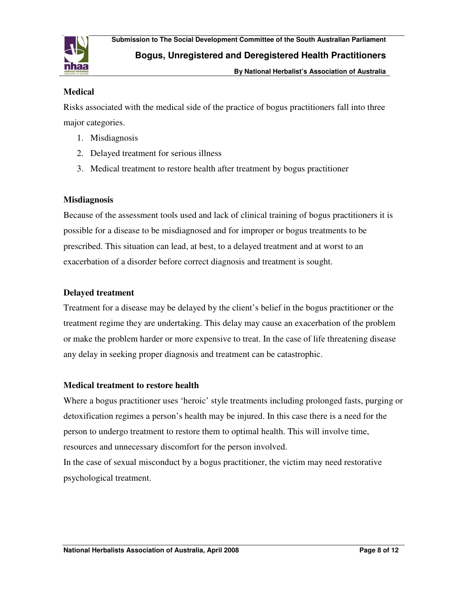

**Bogus, Unregistered and Deregistered Health Practitioners**

**By National Herbalist's Association of Australia**

#### **Medical**

Risks associated with the medical side of the practice of bogus practitioners fall into three major categories.

- 1. Misdiagnosis
- 2. Delayed treatment for serious illness
- 3. Medical treatment to restore health after treatment by bogus practitioner

#### **Misdiagnosis**

Because of the assessment tools used and lack of clinical training of bogus practitioners it is possible for a disease to be misdiagnosed and for improper or bogus treatments to be prescribed. This situation can lead, at best, to a delayed treatment and at worst to an exacerbation of a disorder before correct diagnosis and treatment is sought.

#### **Delayed treatment**

Treatment for a disease may be delayed by the client's belief in the bogus practitioner or the treatment regime they are undertaking. This delay may cause an exacerbation of the problem or make the problem harder or more expensive to treat. In the case of life threatening disease any delay in seeking proper diagnosis and treatment can be catastrophic.

#### **Medical treatment to restore health**

Where a bogus practitioner uses 'heroic' style treatments including prolonged fasts, purging or detoxification regimes a person's health may be injured. In this case there is a need for the person to undergo treatment to restore them to optimal health. This will involve time, resources and unnecessary discomfort for the person involved. In the case of sexual misconduct by a bogus practitioner, the victim may need restorative psychological treatment.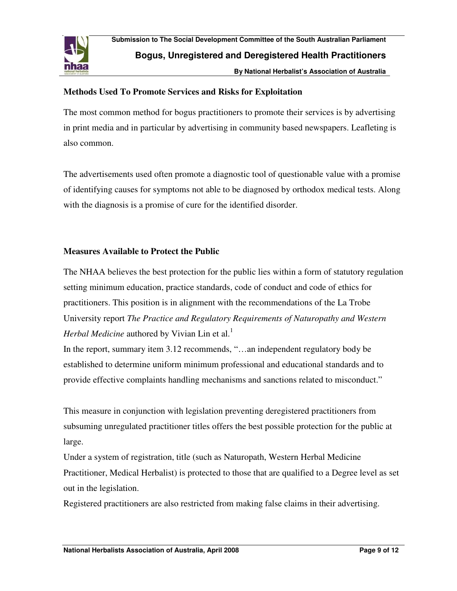

**By National Herbalist's Association of Australia**

#### **Methods Used To Promote Services and Risks for Exploitation**

The most common method for bogus practitioners to promote their services is by advertising in print media and in particular by advertising in community based newspapers. Leafleting is also common.

The advertisements used often promote a diagnostic tool of questionable value with a promise of identifying causes for symptoms not able to be diagnosed by orthodox medical tests. Along with the diagnosis is a promise of cure for the identified disorder.

#### **Measures Available to Protect the Public**

The NHAA believes the best protection for the public lies within a form of statutory regulation setting minimum education, practice standards, code of conduct and code of ethics for practitioners. This position is in alignment with the recommendations of the La Trobe University report *The Practice and Regulatory Requirements of Naturopathy and Western Herbal Medicine* authored by Vivian Lin et al.<sup>1</sup>

In the report, summary item 3.12 recommends, "...an independent regulatory body be established to determine uniform minimum professional and educational standards and to provide effective complaints handling mechanisms and sanctions related to misconduct."

This measure in conjunction with legislation preventing deregistered practitioners from subsuming unregulated practitioner titles offers the best possible protection for the public at large.

Under a system of registration, title (such as Naturopath, Western Herbal Medicine Practitioner, Medical Herbalist) is protected to those that are qualified to a Degree level as set out in the legislation.

Registered practitioners are also restricted from making false claims in their advertising.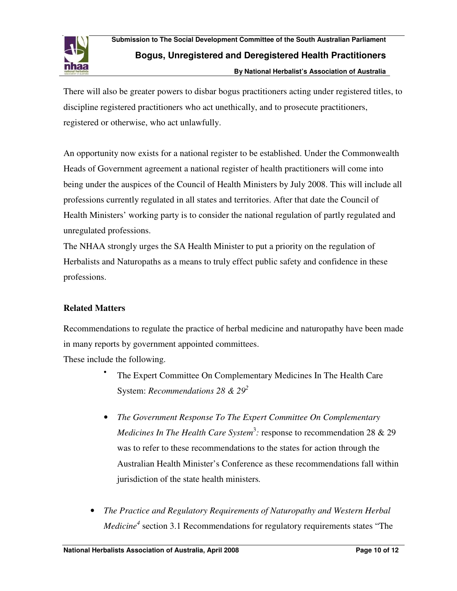

There will also be greater powers to disbar bogus practitioners acting under registered titles, to discipline registered practitioners who act unethically, and to prosecute practitioners, registered or otherwise, who act unlawfully.

An opportunity now exists for a national register to be established. Under the Commonwealth Heads of Government agreement a national register of health practitioners will come into being under the auspices of the Council of Health Ministers by July 2008. This will include all professions currently regulated in all states and territories. After that date the Council of Health Ministers' working party is to consider the national regulation of partly regulated and unregulated professions.

The NHAA strongly urges the SA Health Minister to put a priority on the regulation of Herbalists and Naturopaths as a means to truly effect public safety and confidence in these professions.

#### **Related Matters**

Recommendations to regulate the practice of herbal medicine and naturopathy have been made in many reports by government appointed committees.

These include the following.

•

- The Expert Committee On Complementary Medicines In The Health Care System: *Recommendations 28 & 29<sup>2</sup>*
- *The Government Response To The Expert Committee On Complementary Medicines In The Health Care System*<sup>3</sup>: response to recommendation 28 & 29 was to refer to these recommendations to the states for action through the Australian Health Minister's Conference as these recommendations fall within jurisdiction of the state health ministers*.*
- *The Practice and Regulatory Requirements of Naturopathy and Western Herbal Medicine<sup>4</sup>* section 3.1 Recommendations for regulatory requirements states "The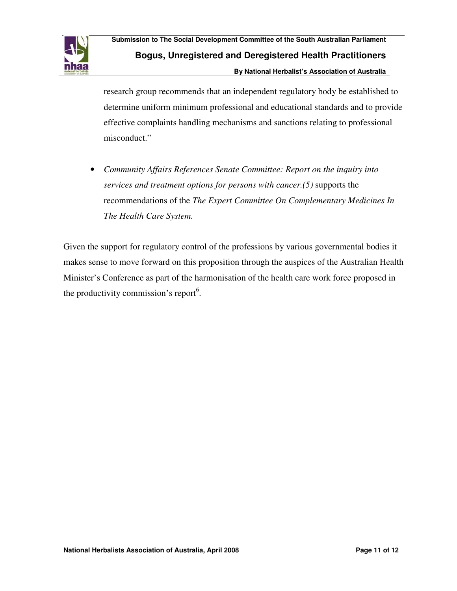

research group recommends that an independent regulatory body be established to determine uniform minimum professional and educational standards and to provide effective complaints handling mechanisms and sanctions relating to professional misconduct."

• *Community Affairs References Senate Committee: Report on the inquiry into services and treatment options for persons with cancer.(5)* supports the recommendations of the *The Expert Committee On Complementary Medicines In The Health Care System.*

Given the support for regulatory control of the professions by various governmental bodies it makes sense to move forward on this proposition through the auspices of the Australian Health Minister's Conference as part of the harmonisation of the health care work force proposed in the productivity commission's report<sup>6</sup>.